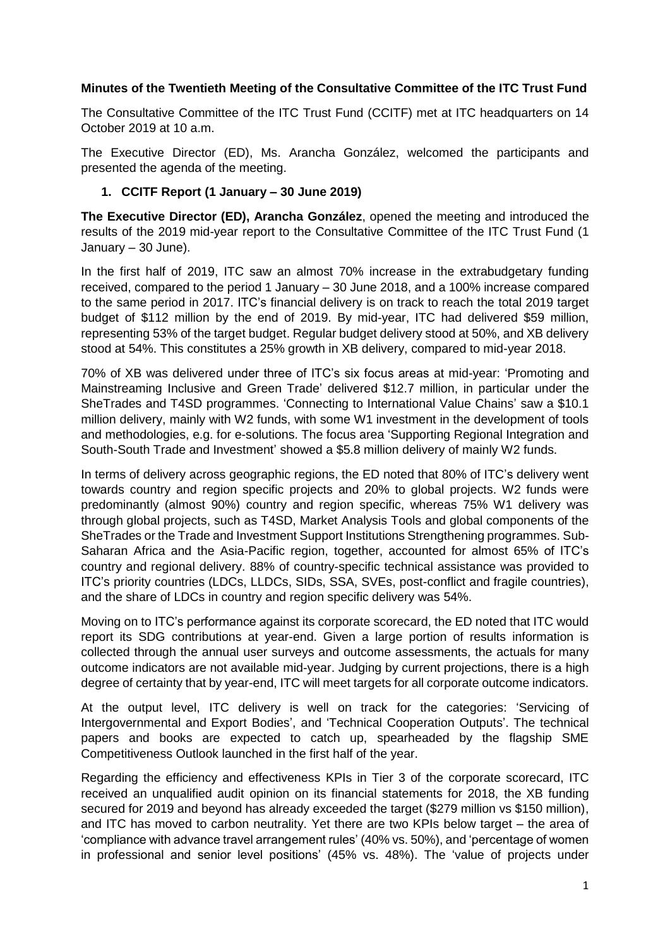## **Minutes of the Twentieth Meeting of the Consultative Committee of the ITC Trust Fund**

The Consultative Committee of the ITC Trust Fund (CCITF) met at ITC headquarters on 14 October 2019 at 10 a.m.

The Executive Director (ED), Ms. Arancha González, welcomed the participants and presented the agenda of the meeting.

## **1. CCITF Report (1 January – 30 June 2019)**

**The Executive Director (ED), Arancha González**, opened the meeting and introduced the results of the 2019 mid-year report to the Consultative Committee of the ITC Trust Fund (1 January – 30 June).

In the first half of 2019, ITC saw an almost 70% increase in the extrabudgetary funding received, compared to the period 1 January – 30 June 2018, and a 100% increase compared to the same period in 2017. ITC's financial delivery is on track to reach the total 2019 target budget of \$112 million by the end of 2019. By mid-year, ITC had delivered \$59 million, representing 53% of the target budget. Regular budget delivery stood at 50%, and XB delivery stood at 54%. This constitutes a 25% growth in XB delivery, compared to mid-year 2018.

70% of XB was delivered under three of ITC's six focus areas at mid-year: 'Promoting and Mainstreaming Inclusive and Green Trade' delivered \$12.7 million, in particular under the SheTrades and T4SD programmes. 'Connecting to International Value Chains' saw a \$10.1 million delivery, mainly with W2 funds, with some W1 investment in the development of tools and methodologies, e.g. for e-solutions. The focus area 'Supporting Regional Integration and South-South Trade and Investment' showed a \$5.8 million delivery of mainly W2 funds.

In terms of delivery across geographic regions, the ED noted that 80% of ITC's delivery went towards country and region specific projects and 20% to global projects. W2 funds were predominantly (almost 90%) country and region specific, whereas 75% W1 delivery was through global projects, such as T4SD, Market Analysis Tools and global components of the SheTrades or the Trade and Investment Support Institutions Strengthening programmes. Sub-Saharan Africa and the Asia-Pacific region, together, accounted for almost 65% of ITC's country and regional delivery. 88% of country-specific technical assistance was provided to ITC's priority countries (LDCs, LLDCs, SIDs, SSA, SVEs, post-conflict and fragile countries), and the share of LDCs in country and region specific delivery was 54%.

Moving on to ITC's performance against its corporate scorecard, the ED noted that ITC would report its SDG contributions at year-end. Given a large portion of results information is collected through the annual user surveys and outcome assessments, the actuals for many outcome indicators are not available mid-year. Judging by current projections, there is a high degree of certainty that by year-end, ITC will meet targets for all corporate outcome indicators.

At the output level, ITC delivery is well on track for the categories: 'Servicing of Intergovernmental and Export Bodies', and 'Technical Cooperation Outputs'. The technical papers and books are expected to catch up, spearheaded by the flagship SME Competitiveness Outlook launched in the first half of the year.

Regarding the efficiency and effectiveness KPIs in Tier 3 of the corporate scorecard, ITC received an unqualified audit opinion on its financial statements for 2018, the XB funding secured for 2019 and beyond has already exceeded the target (\$279 million vs \$150 million), and ITC has moved to carbon neutrality. Yet there are two KPIs below target – the area of 'compliance with advance travel arrangement rules' (40% vs. 50%), and 'percentage of women in professional and senior level positions' (45% vs. 48%). The 'value of projects under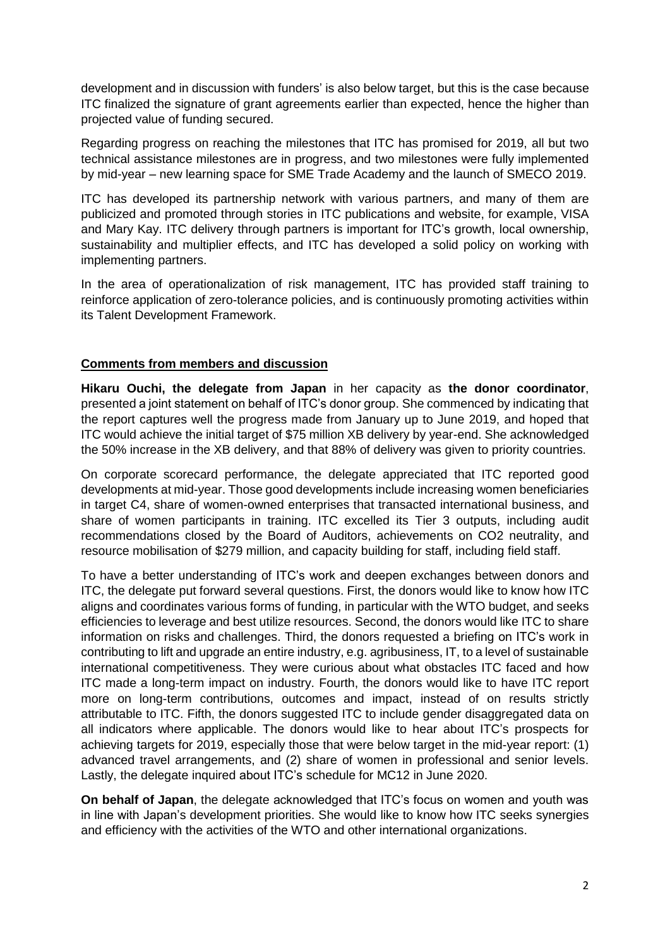development and in discussion with funders' is also below target, but this is the case because ITC finalized the signature of grant agreements earlier than expected, hence the higher than projected value of funding secured.

Regarding progress on reaching the milestones that ITC has promised for 2019, all but two technical assistance milestones are in progress, and two milestones were fully implemented by mid-year – new learning space for SME Trade Academy and the launch of SMECO 2019.

ITC has developed its partnership network with various partners, and many of them are publicized and promoted through stories in ITC publications and website, for example, VISA and Mary Kay. ITC delivery through partners is important for ITC's growth, local ownership, sustainability and multiplier effects, and ITC has developed a solid policy on working with implementing partners.

In the area of operationalization of risk management, ITC has provided staff training to reinforce application of zero-tolerance policies, and is continuously promoting activities within its Talent Development Framework.

# **Comments from members and discussion**

**Hikaru Ouchi, the delegate from Japan** in her capacity as **the donor coordinator**, presented a joint statement on behalf of ITC's donor group. She commenced by indicating that the report captures well the progress made from January up to June 2019, and hoped that ITC would achieve the initial target of \$75 million XB delivery by year-end. She acknowledged the 50% increase in the XB delivery, and that 88% of delivery was given to priority countries.

On corporate scorecard performance, the delegate appreciated that ITC reported good developments at mid-year. Those good developments include increasing women beneficiaries in target C4, share of women-owned enterprises that transacted international business, and share of women participants in training. ITC excelled its Tier 3 outputs, including audit recommendations closed by the Board of Auditors, achievements on CO2 neutrality, and resource mobilisation of \$279 million, and capacity building for staff, including field staff.

To have a better understanding of ITC's work and deepen exchanges between donors and ITC, the delegate put forward several questions. First, the donors would like to know how ITC aligns and coordinates various forms of funding, in particular with the WTO budget, and seeks efficiencies to leverage and best utilize resources. Second, the donors would like ITC to share information on risks and challenges. Third, the donors requested a briefing on ITC's work in contributing to lift and upgrade an entire industry, e.g. agribusiness, IT, to a level of sustainable international competitiveness. They were curious about what obstacles ITC faced and how ITC made a long-term impact on industry. Fourth, the donors would like to have ITC report more on long-term contributions, outcomes and impact, instead of on results strictly attributable to ITC. Fifth, the donors suggested ITC to include gender disaggregated data on all indicators where applicable. The donors would like to hear about ITC's prospects for achieving targets for 2019, especially those that were below target in the mid-year report: (1) advanced travel arrangements, and (2) share of women in professional and senior levels. Lastly, the delegate inquired about ITC's schedule for MC12 in June 2020.

**On behalf of Japan**, the delegate acknowledged that ITC's focus on women and youth was in line with Japan's development priorities. She would like to know how ITC seeks synergies and efficiency with the activities of the WTO and other international organizations.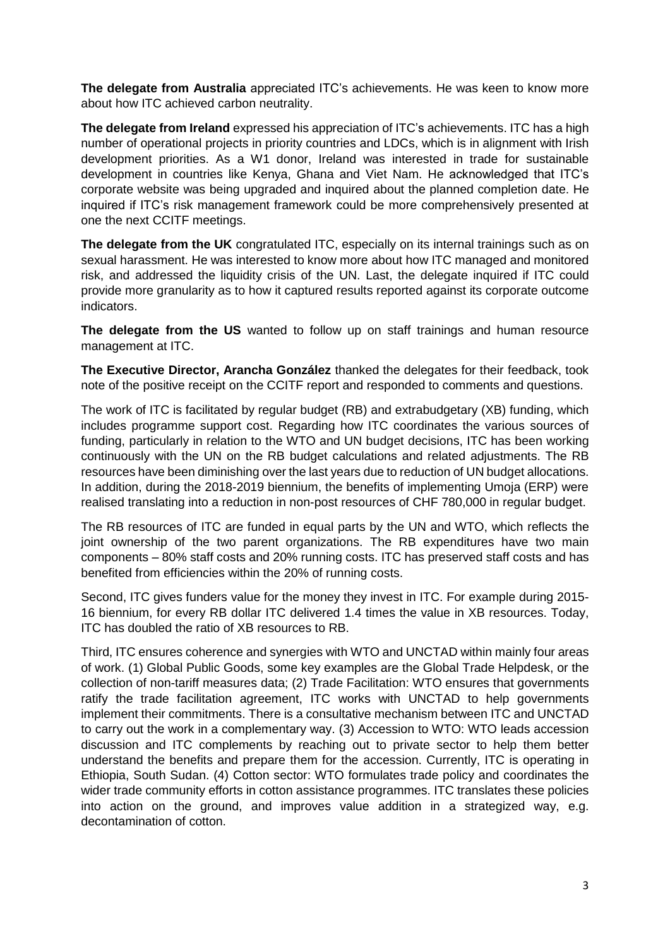**The delegate from Australia** appreciated ITC's achievements. He was keen to know more about how ITC achieved carbon neutrality.

**The delegate from Ireland** expressed his appreciation of ITC's achievements. ITC has a high number of operational projects in priority countries and LDCs, which is in alignment with Irish development priorities. As a W1 donor, Ireland was interested in trade for sustainable development in countries like Kenya, Ghana and Viet Nam. He acknowledged that ITC's corporate website was being upgraded and inquired about the planned completion date. He inquired if ITC's risk management framework could be more comprehensively presented at one the next CCITF meetings.

**The delegate from the UK** congratulated ITC, especially on its internal trainings such as on sexual harassment. He was interested to know more about how ITC managed and monitored risk, and addressed the liquidity crisis of the UN. Last, the delegate inquired if ITC could provide more granularity as to how it captured results reported against its corporate outcome indicators.

**The delegate from the US** wanted to follow up on staff trainings and human resource management at ITC.

**The Executive Director, Arancha González** thanked the delegates for their feedback, took note of the positive receipt on the CCITF report and responded to comments and questions.

The work of ITC is facilitated by regular budget (RB) and extrabudgetary (XB) funding, which includes programme support cost. Regarding how ITC coordinates the various sources of funding, particularly in relation to the WTO and UN budget decisions, ITC has been working continuously with the UN on the RB budget calculations and related adjustments. The RB resources have been diminishing over the last years due to reduction of UN budget allocations. In addition, during the 2018-2019 biennium, the benefits of implementing Umoja (ERP) were realised translating into a reduction in non-post resources of CHF 780,000 in regular budget.

The RB resources of ITC are funded in equal parts by the UN and WTO, which reflects the joint ownership of the two parent organizations. The RB expenditures have two main components – 80% staff costs and 20% running costs. ITC has preserved staff costs and has benefited from efficiencies within the 20% of running costs.

Second, ITC gives funders value for the money they invest in ITC. For example during 2015- 16 biennium, for every RB dollar ITC delivered 1.4 times the value in XB resources. Today, ITC has doubled the ratio of XB resources to RB.

Third, ITC ensures coherence and synergies with WTO and UNCTAD within mainly four areas of work. (1) Global Public Goods, some key examples are the Global Trade Helpdesk, or the collection of non-tariff measures data; (2) Trade Facilitation: WTO ensures that governments ratify the trade facilitation agreement, ITC works with UNCTAD to help governments implement their commitments. There is a consultative mechanism between ITC and UNCTAD to carry out the work in a complementary way. (3) Accession to WTO: WTO leads accession discussion and ITC complements by reaching out to private sector to help them better understand the benefits and prepare them for the accession. Currently, ITC is operating in Ethiopia, South Sudan. (4) Cotton sector: WTO formulates trade policy and coordinates the wider trade community efforts in cotton assistance programmes. ITC translates these policies into action on the ground, and improves value addition in a strategized way, e.g. decontamination of cotton.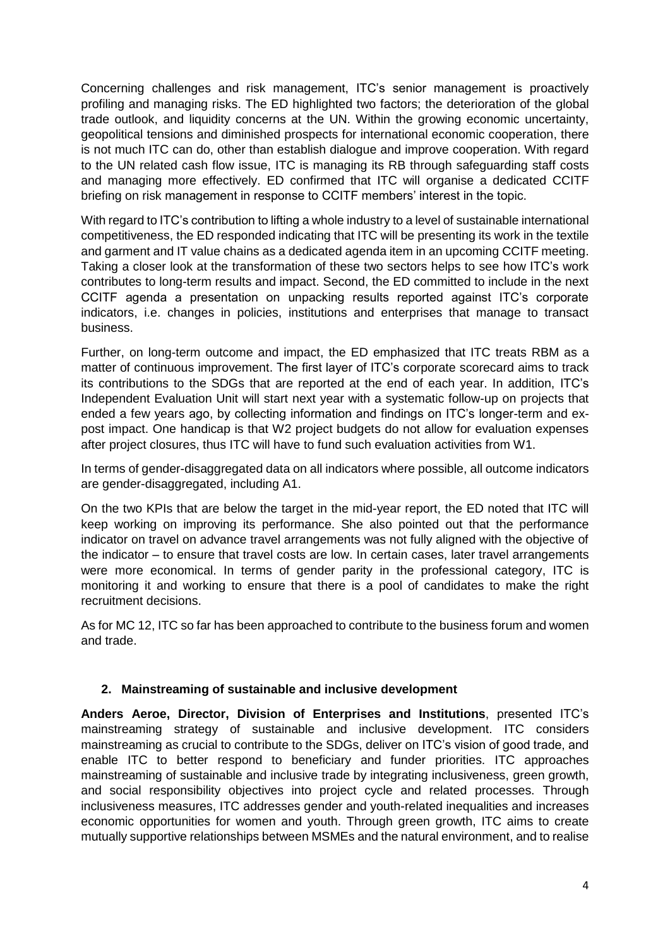Concerning challenges and risk management, ITC's senior management is proactively profiling and managing risks. The ED highlighted two factors; the deterioration of the global trade outlook, and liquidity concerns at the UN. Within the growing economic uncertainty, geopolitical tensions and diminished prospects for international economic cooperation, there is not much ITC can do, other than establish dialogue and improve cooperation. With regard to the UN related cash flow issue, ITC is managing its RB through safeguarding staff costs and managing more effectively. ED confirmed that ITC will organise a dedicated CCITF briefing on risk management in response to CCITF members' interest in the topic.

With regard to ITC's contribution to lifting a whole industry to a level of sustainable international competitiveness, the ED responded indicating that ITC will be presenting its work in the textile and garment and IT value chains as a dedicated agenda item in an upcoming CCITF meeting. Taking a closer look at the transformation of these two sectors helps to see how ITC's work contributes to long-term results and impact. Second, the ED committed to include in the next CCITF agenda a presentation on unpacking results reported against ITC's corporate indicators, i.e. changes in policies, institutions and enterprises that manage to transact business.

Further, on long-term outcome and impact, the ED emphasized that ITC treats RBM as a matter of continuous improvement. The first layer of ITC's corporate scorecard aims to track its contributions to the SDGs that are reported at the end of each year. In addition, ITC's Independent Evaluation Unit will start next year with a systematic follow-up on projects that ended a few years ago, by collecting information and findings on ITC's longer-term and expost impact. One handicap is that W2 project budgets do not allow for evaluation expenses after project closures, thus ITC will have to fund such evaluation activities from W1.

In terms of gender-disaggregated data on all indicators where possible, all outcome indicators are gender-disaggregated, including A1.

On the two KPIs that are below the target in the mid-year report, the ED noted that ITC will keep working on improving its performance. She also pointed out that the performance indicator on travel on advance travel arrangements was not fully aligned with the objective of the indicator – to ensure that travel costs are low. In certain cases, later travel arrangements were more economical. In terms of gender parity in the professional category, ITC is monitoring it and working to ensure that there is a pool of candidates to make the right recruitment decisions.

As for MC 12, ITC so far has been approached to contribute to the business forum and women and trade.

### **2. Mainstreaming of sustainable and inclusive development**

**Anders Aeroe, Director, Division of Enterprises and Institutions**, presented ITC's mainstreaming strategy of sustainable and inclusive development. ITC considers mainstreaming as crucial to contribute to the SDGs, deliver on ITC's vision of good trade, and enable ITC to better respond to beneficiary and funder priorities. ITC approaches mainstreaming of sustainable and inclusive trade by integrating inclusiveness, green growth, and social responsibility objectives into project cycle and related processes. Through inclusiveness measures, ITC addresses gender and youth-related inequalities and increases economic opportunities for women and youth. Through green growth, ITC aims to create mutually supportive relationships between MSMEs and the natural environment, and to realise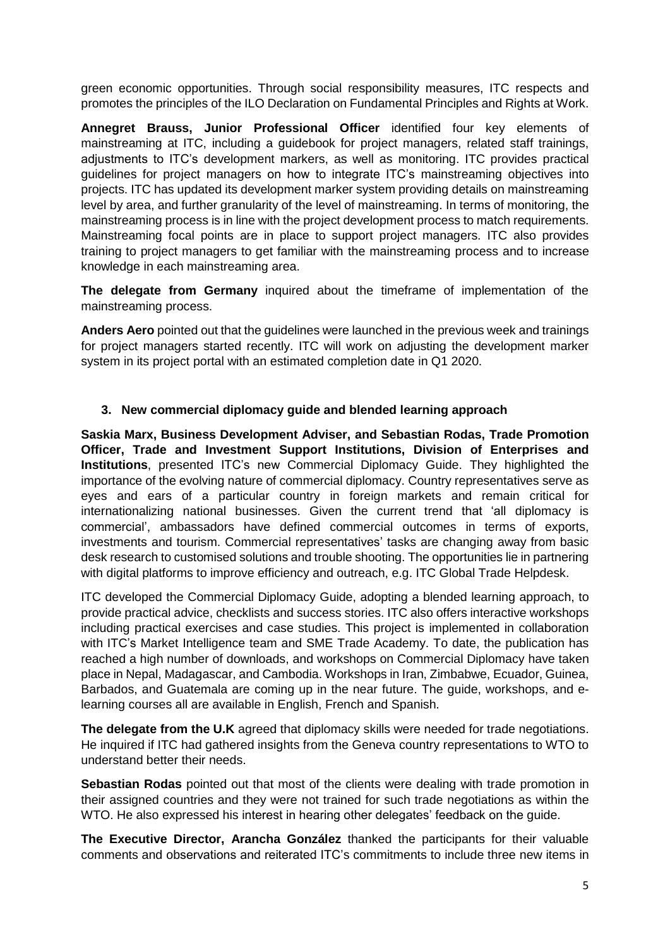green economic opportunities. Through social responsibility measures, ITC respects and promotes the principles of the ILO Declaration on Fundamental Principles and Rights at Work.

**Annegret Brauss, Junior Professional Officer** identified four key elements of mainstreaming at ITC, including a guidebook for project managers, related staff trainings, adjustments to ITC's development markers, as well as monitoring. ITC provides practical guidelines for project managers on how to integrate ITC's mainstreaming objectives into projects. ITC has updated its development marker system providing details on mainstreaming level by area, and further granularity of the level of mainstreaming. In terms of monitoring, the mainstreaming process is in line with the project development process to match requirements. Mainstreaming focal points are in place to support project managers. ITC also provides training to project managers to get familiar with the mainstreaming process and to increase knowledge in each mainstreaming area.

**The delegate from Germany** inquired about the timeframe of implementation of the mainstreaming process.

**Anders Aero** pointed out that the guidelines were launched in the previous week and trainings for project managers started recently. ITC will work on adjusting the development marker system in its project portal with an estimated completion date in Q1 2020.

# **3. New commercial diplomacy guide and blended learning approach**

**Saskia Marx, Business Development Adviser, and Sebastian Rodas, Trade Promotion Officer, Trade and Investment Support Institutions, Division of Enterprises and Institutions**, presented ITC's new Commercial Diplomacy Guide. They highlighted the importance of the evolving nature of commercial diplomacy. Country representatives serve as eyes and ears of a particular country in foreign markets and remain critical for internationalizing national businesses. Given the current trend that 'all diplomacy is commercial', ambassadors have defined commercial outcomes in terms of exports, investments and tourism. Commercial representatives' tasks are changing away from basic desk research to customised solutions and trouble shooting. The opportunities lie in partnering with digital platforms to improve efficiency and outreach, e.g. ITC Global Trade Helpdesk.

ITC developed the Commercial Diplomacy Guide, adopting a blended learning approach, to provide practical advice, checklists and success stories. ITC also offers interactive workshops including practical exercises and case studies. This project is implemented in collaboration with ITC's Market Intelligence team and SME Trade Academy. To date, the publication has reached a high number of downloads, and workshops on Commercial Diplomacy have taken place in Nepal, Madagascar, and Cambodia. Workshops in Iran, Zimbabwe, Ecuador, Guinea, Barbados, and Guatemala are coming up in the near future. The guide, workshops, and elearning courses all are available in English, French and Spanish.

**The delegate from the U.K** agreed that diplomacy skills were needed for trade negotiations. He inquired if ITC had gathered insights from the Geneva country representations to WTO to understand better their needs.

**Sebastian Rodas** pointed out that most of the clients were dealing with trade promotion in their assigned countries and they were not trained for such trade negotiations as within the WTO. He also expressed his interest in hearing other delegates' feedback on the guide.

**The Executive Director, Arancha González** thanked the participants for their valuable comments and observations and reiterated ITC's commitments to include three new items in